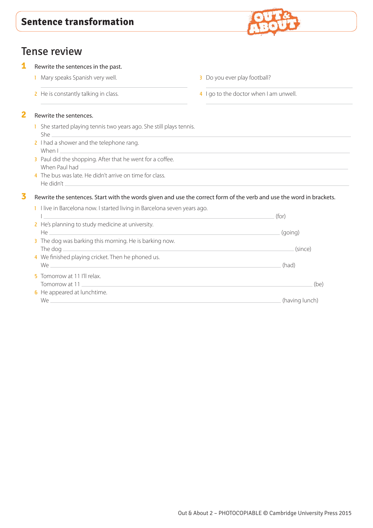

## Tense review

#### **1** Rewrite the sentences in the past.

- 1 Mary speaks Spanish very well.
	- 2 He is constantly talking in class.

#### 3 Do you ever play football?

4 I go to the doctor when I am unwell.

#### **2** Rewrite the sentences.

- 1 She started playing tennis two years ago. She still plays tennis. She
- 2 I had a shower and the telephone rang. When I
- 3 Paul did the shopping. After that he went for a coffee. When Paul had
- 4 The bus was late. He didn't arrive on time for class. He didn't

#### **3** Rewrite the sentences. Start with the words given and use the correct form of the verb and use the word in brackets.

| 1 I live in Barcelona now. I started living in Barcelona seven years ago.                                                                                                                                                            |                |
|--------------------------------------------------------------------------------------------------------------------------------------------------------------------------------------------------------------------------------------|----------------|
|                                                                                                                                                                                                                                      | (for)          |
| 2 He's planning to study medicine at university.                                                                                                                                                                                     |                |
| He <u>many and the second contract of the second contract of the second contract of the second contract of the second contract of the second contract of the second contract of the second contract of the second contract of th</u> | (going)        |
| 3 The dog was barking this morning. He is barking now.                                                                                                                                                                               |                |
| The dog                                                                                                                                                                                                                              | (since)        |
| 4 We finished playing cricket. Then he phoned us.                                                                                                                                                                                    |                |
| We have a set of the set of the set of the set of the set of the set of the set of the set of the set of the set of the set of the set of the set of the set of the set of the set of the set of the set of the set of the set       | (had)          |
| <b>5</b> Tomorrow at 11 I'll relax.                                                                                                                                                                                                  |                |
| Tomorrow at 11                                                                                                                                                                                                                       | (be)           |
| 6 He appeared at lunchtime.                                                                                                                                                                                                          |                |
|                                                                                                                                                                                                                                      | (having lunch) |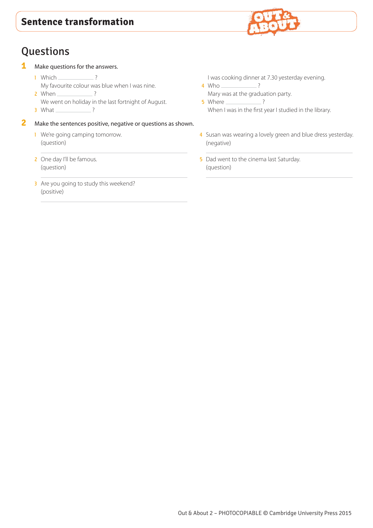# **Questions**

- **1** Make questions for the answers.
	- 1 Which <u>2008</u> My favourite colour was blue when I was nine.
	- 2 When ? We went on holiday in the last fortnight of August.
	- 3 What ?
- **2** Make the sentences positive, negative or questions as shown.
	- 1 We're going camping tomorrow. (question)
	- 2 One day I'll be famous. (question)
	- 3 Are you going to study this weekend? (positive)



- I was cooking dinner at 7.30 yesterday evening.
- 4 Who \_\_\_\_\_\_\_\_\_\_\_\_\_\_\_\_ ? Mary was at the graduation party.
- **5** Where <u>2008</u> 2 When I was in the first year I studied in the library.
- 4 Susan was wearing a lovely green and blue dress yesterday. (negative)
- 5 Dad went to the cinema last Saturday. (question)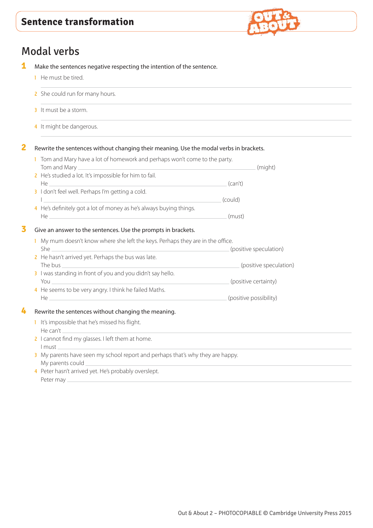

# Modal verbs

- **1** Make the sentences negative respecting the intention of the sentence.
	- **1** He must be tired.
	- 2 She could run for many hours.
	- 3 It must be a storm.
	- 4 It might be dangerous.

**2** Rewrite the sentences without changing their meaning. Use the modal verbs in brackets.

| 1 Tom and Mary have a lot of homework and perhaps won't come to the party. |         |         |
|----------------------------------------------------------------------------|---------|---------|
| Tom and Mary                                                               |         | (might) |
| 2 He's studied a lot. It's impossible for him to fail.                     |         |         |
| He                                                                         | (can't) |         |
| 3 I don't feel well. Perhaps I'm getting a cold.                           |         |         |
|                                                                            | (could) |         |
| 4 He's definitely got a lot of money as he's always buying things.         |         |         |
| He                                                                         | (must)  |         |

#### **3** Give an answer to the sentences. Use the prompts in brackets.

- 1 My mum doesn't know where she left the keys. Perhaps they are in the office. She (positive speculation)  $\sim$  (positive speculation)
- 2 He hasn't arrived yet. Perhaps the bus was late. The bus <u>experiments</u> of the business of the business of the business of the business of the business of the business of the business of the business of the business of the business of the business of the business of the b
- 3 I was standing in front of you and you didn't say hello. You (positive certainty)
- 4 He seems to be very angry. I think he failed Maths. He (positive possibility)

#### **4** Rewrite the sentences without changing the meaning.

- 1 It's impossible that he's missed his flight. He can't
- 2 I cannot find my glasses. I left them at home. I must

3 My parents have seen my school report and perhaps that's why they are happy. My parents could

4 Peter hasn't arrived yet. He's probably overslept. Peter may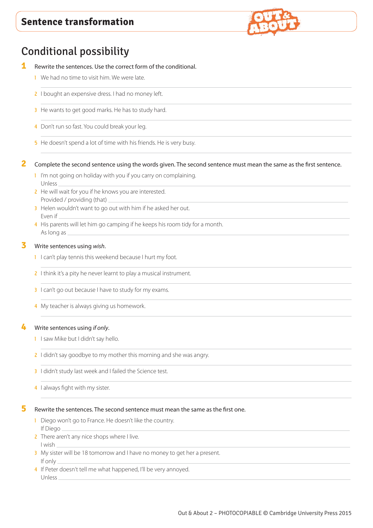

# Conditional possibility

#### **1** Rewrite the sentences. Use the correct form of the conditional.

- 1 We had no time to visit him. We were late.
- 2 I bought an expensive dress. I had no money left.
- 3 He wants to get good marks. He has to study hard.
- 4 Don't run so fast. You could break your leg.
- 5 He doesn't spend a lot of time with his friends. He is very busy.

#### **2** Complete the second sentence using the words given. The second sentence must mean the same as the first sentence.

- 1 I'm not going on holiday with you if you carry on complaining. Unless
- 2 He will wait for you if he knows you are interested. Provided / providing (that)
- 3 Helen wouldn't want to go out with him if he asked her out. Even if
- 4 His parents will let him go camping if he keeps his room tidy for a month. As long as

#### **3** Write sentences using *wish*.

- 1 I can't play tennis this weekend because I hurt my foot.
- 2 I think it's a pity he never learnt to play a musical instrument.
- 3 I can't go out because I have to study for my exams.
- 4 My teacher is always giving us homework.

#### **4** Write sentences using *if only*.

- 1 I saw Mike but I didn't say hello.
- 2 I didn't say goodbye to my mother this morning and she was angry.
- 3 I didn't study last week and I failed the Science test.
- 4 I always fight with my sister.

#### **5** Rewrite the sentences. The second sentence must mean the same as the first one.

- 1 Diego won't go to France. He doesn't like the country. If Diego
- 2 There aren't any nice shops where I live. I wish
- 3 My sister will be 18 tomorrow and I have no money to get her a present. If only
- 4 If Peter doesn't tell me what happened, I'll be very annoyed. Unless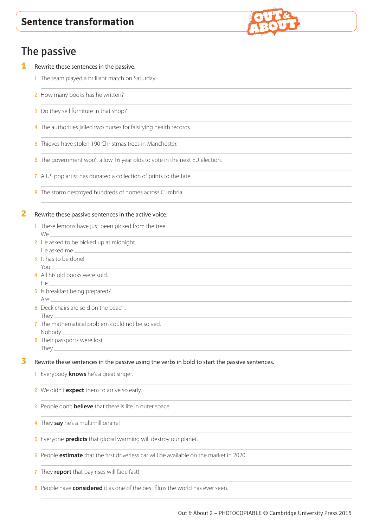# The passive

**1** Rewrite these sentences in the passive.

- 1 The team played a brilliant match on Saturday.
- 2 How many books has he written?
- 3 Do they sell furniture in that shop?
- 4 The authorities jailed two nurses for falsifying health records.
- 5 Thieves have stolen 190 Christmas trees in Manchester.
- 6 The government won't allow 16 year olds to vote in the next EU election.
- 7 A US pop artist has donated a collection of prints to the Tate.
- 8 The storm destroyed hundreds of homes across Cumbria.

#### **2** Rewrite these passive sentences in the active voice.

- 1 These lemons have just been picked from the tree. We
- 2 He asked to be picked up at midnight. He asked me
- 3 It has to be done! You
- 4 All his old books were sold.  $He$
- **5** Is breakfast being prepared? Are
- **6** Deck chairs are sold on the beach. They
- 7 The mathematical problem could not be solved. Nobody
- 8 Their passports were lost. They

#### **3** Rewrite these sentences in the passive using the verbs in bold to start the passive sentences.

- 1 Everybody **knows** he's a great singer.
- 2 We didn't **expect** them to arrive so early.
- 3 People don't **believe** that there is life in outer space.
- 4 They **say** he's a multimillionaire!
- 5 Everyone **predicts** that global warming will destroy our planet.
- 6 People **estimate** that the first driverless car will be available on the market in 2020.
- 7 They **report** that pay rises will fade fast!
- 8 People have **considered** it as one of the best films the world has ever seen.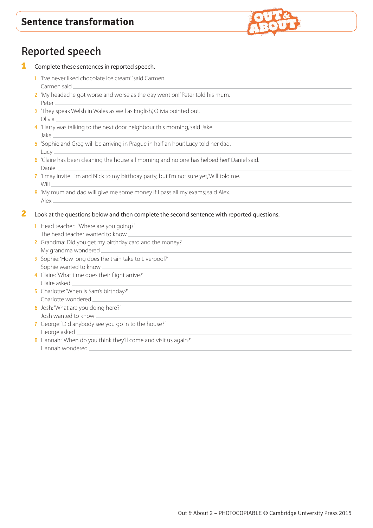

# Reported speech

- **1** Complete these sentences in reported speech.
	- 1 'I've never liked chocolate ice cream!' said Carmen. Carmen said
	- 2 'My headache got worse and worse as the day went on!' Peter told his mum. Peter
	- 3 'They speak Welsh in Wales as well as English,' Olivia pointed out. Olivia
	- 4 'Harry was talking to the next door neighbour this morning,' said Jake. Jake
	- 5 'Sophie and Greg will be arriving in Prague in half an hour,' Lucy told her dad. Lucy
	- 6 'Claire has been cleaning the house all morning and no one has helped her!' Daniel said. Daniel
	- 7 'I may invite Tim and Nick to my birthday party, but I'm not sure yet,' Will told me. Will
	- 8 'My mum and dad will give me some money if I pass all my exams', said Alex. Alex

#### **2** Look at the questions below and then complete the second sentence with reported questions.

- 1 Head teacher: 'Where are you going?' The head teacher wanted to know
- 2 Grandma: Did you get my birthday card and the money? My grandma wondered
- 3 Sophie: 'How long does the train take to Liverpool?' Sophie wanted to know
- 4 Claire: 'What time does their flight arrive?' Claire asked
- 5 Charlotte: 'When is Sam's birthday?' Charlotte wondered
- 6 Josh: 'What are you doing here?' Josh wanted to know
- 7 George:' Did anybody see you go in to the house?' George asked
- 8 Hannah: 'When do you think they'll come and visit us again?' Hannah wondered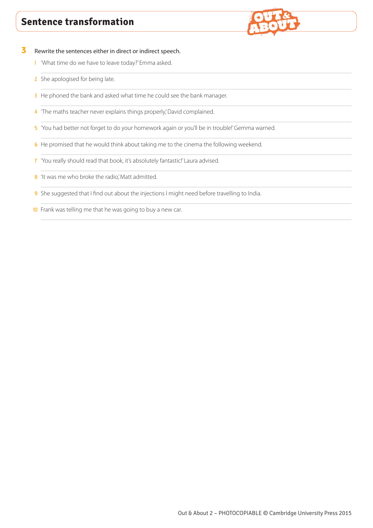

**3** Rewrite the sentences either in direct or indirect speech.

- 1 'What time do we have to leave today?' Emma asked.
- 2 She apologised for being late.
- 3 He phoned the bank and asked what time he could see the bank manager.
- 4 'The maths teacher never explains things properly,' David complained.
- 5 'You had better not forget to do your homework again or you'll be in trouble!' Gemma warned.
- 6 He promised that he would think about taking me to the cinema the following weekend.
- 7 'You really should read that book, it's absolutely fantastic!' Laura advised.
- 8 'It was me who broke the radio,' Matt admitted.
- 9 She suggested that I find out about the injections I might need before travelling to India.
- 10 Frank was telling me that he was going to buy a new car.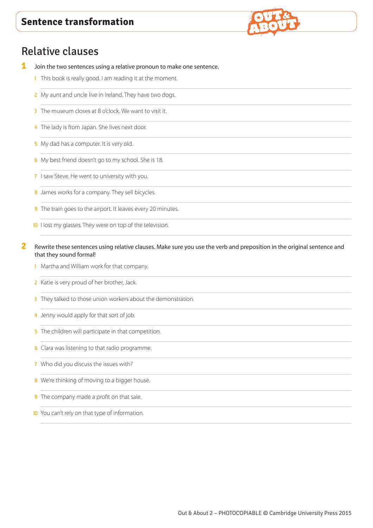

## Relative clauses

- **1** Join the two sentences using a relative pronoun to make one sentence.
	- 1 This book is really good. I am reading it at the moment.
	- 2 My aunt and uncle live in Ireland. They have two dogs.
	- 3 The museum closes at 8 o'clock. We want to visit it.
	- 4 The lady is from Japan. She lives next door.
	- **5** My dad has a computer. It is very old.
	- 6 My best friend doesn't go to my school. She is 18.
	- 7 I saw Steve. He went to university with you.
	- 8 James works for a company. They sell bicycles.
	- 9 The train goes to the airport. It leaves every 20 minutes.
	- 10 I lost my glasses. They were on top of the television.

#### **2** Rewrite these sentences using relative clauses. Make sure you use the verb and preposition in the original sentence and that they sound formal!

- 1 Martha and William work for that company.
- 2 Katie is very proud of her brother, Jack.
- 3 They talked to those union workers about the demonstration.
- 4 Jenny would apply for that sort of job.
- 5 The children will participate in that competition.
- 6 Clara was listening to that radio programme.
- 7 Who did you discuss the issues with?
- **8** We're thinking of moving to a bigger house.
- **9** The company made a profit on that sale.
- 10 You can't rely on that type of information.